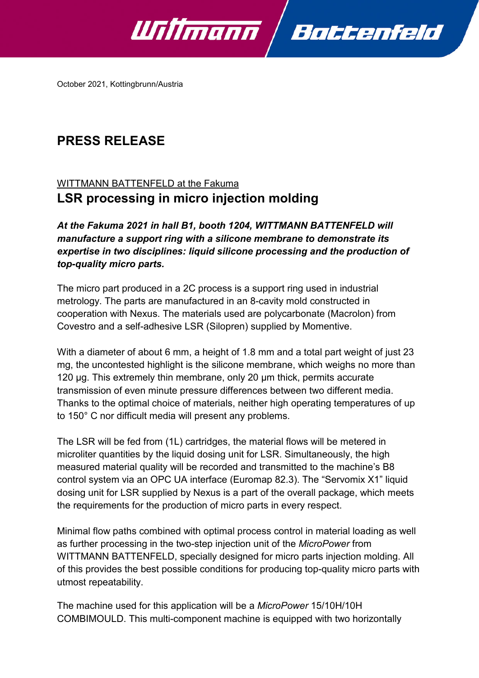

October 2021, Kottingbrunn/Austria

## **PRESS RELEASE**

## WITTMANN BATTENFELD at the Fakuma **LSR processing in micro injection molding**

*At the Fakuma 2021 in hall B1, booth 1204, WITTMANN BATTENFELD will manufacture a support ring with a silicone membrane to demonstrate its expertise in two disciplines: liquid silicone processing and the production of top-quality micro parts.*

The micro part produced in a 2C process is a support ring used in industrial metrology. The parts are manufactured in an 8-cavity mold constructed in cooperation with Nexus. The materials used are polycarbonate (Macrolon) from Covestro and a self-adhesive LSR (Silopren) supplied by Momentive.

With a diameter of about 6 mm, a height of 1.8 mm and a total part weight of just 23 mg, the uncontested highlight is the silicone membrane, which weighs no more than 120 µg. This extremely thin membrane, only 20 µm thick, permits accurate transmission of even minute pressure differences between two different media. Thanks to the optimal choice of materials, neither high operating temperatures of up to 150° C nor difficult media will present any problems.

The LSR will be fed from (1L) cartridges, the material flows will be metered in microliter quantities by the liquid dosing unit for LSR. Simultaneously, the high measured material quality will be recorded and transmitted to the machine's B8 control system via an OPC UA interface (Euromap 82.3). The "Servomix X1" liquid dosing unit for LSR supplied by Nexus is a part of the overall package, which meets the requirements for the production of micro parts in every respect.

Minimal flow paths combined with optimal process control in material loading as well as further processing in the two-step injection unit of the *MicroPower* from WITTMANN BATTENFELD, specially designed for micro parts injection molding. All of this provides the best possible conditions for producing top-quality micro parts with utmost repeatability.

The machine used for this application will be a *MicroPower* 15/10H/10H COMBIMOULD. This multi-component machine is equipped with two horizontally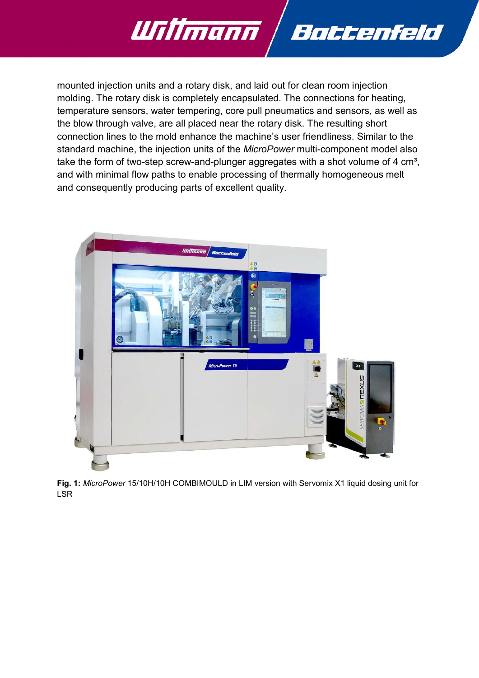

mounted injection units and a rotary disk, and laid out for clean room injection molding. The rotary disk is completely encapsulated. The connections for heating, temperature sensors, water tempering, core pull pneumatics and sensors, as well as the blow through valve, are all placed near the rotary disk. The resulting short connection lines to the mold enhance the machine's user friendliness. Similar to the standard machine, the injection units of the *MicroPower* multi-component model also take the form of two-step screw-and-plunger aggregates with a shot volume of 4  $cm<sup>3</sup>$ , and with minimal flow paths to enable processing of thermally homogeneous melt and consequently producing parts of excellent quality.



**Fig. 1:** *MicroPower* 15/10H/10H COMBIMOULD in LIM version with Servomix X1 liquid dosing unit for LSR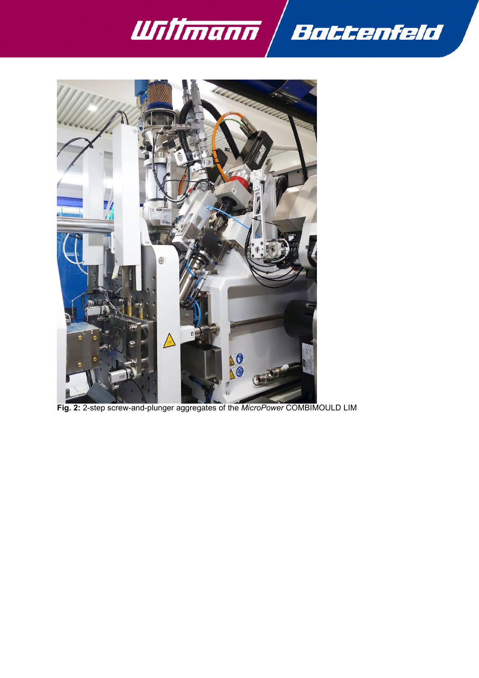



**Fig. 2:** 2-step screw-and-plunger aggregates of the *MicroPower* COMBIMOULD LIM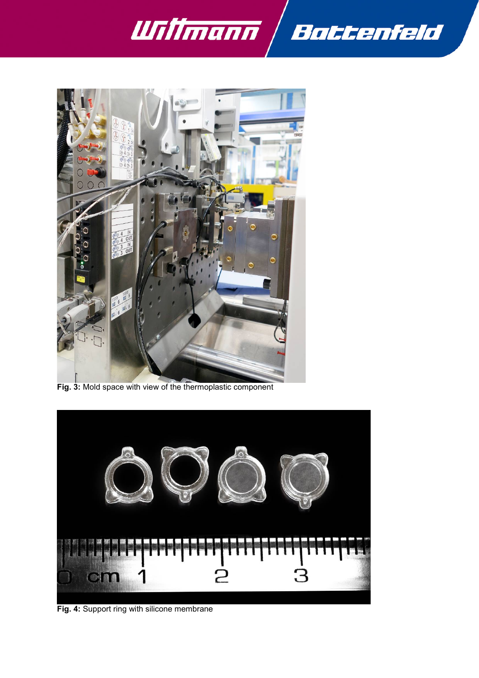



**Fig. 3:** Mold space with view of the thermoplastic component



**Fig. 4:** Support ring with silicone membrane